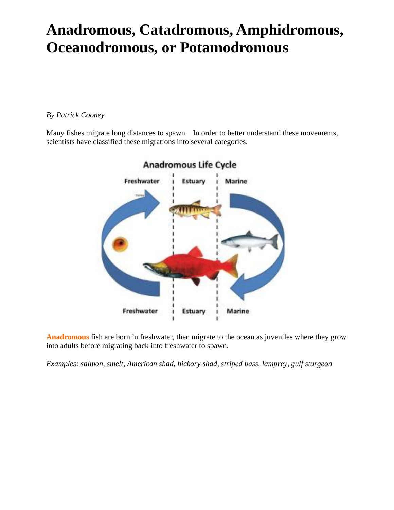## **Anadromous, Catadromous, Amphidromous, Oceanodromous, or Potamodromous**

*By Patrick Cooney*

Many fishes migrate long distances to spawn. In order to better understand these movements, scientists have classified these migrations into several categories.



**Anadromous** fish are born in freshwater, then migrate to the ocean as juveniles where they grow into adults before migrating back into freshwater to spawn.

*Examples: salmon, smelt, American shad, hickory shad, striped bass, lamprey, gulf sturgeon*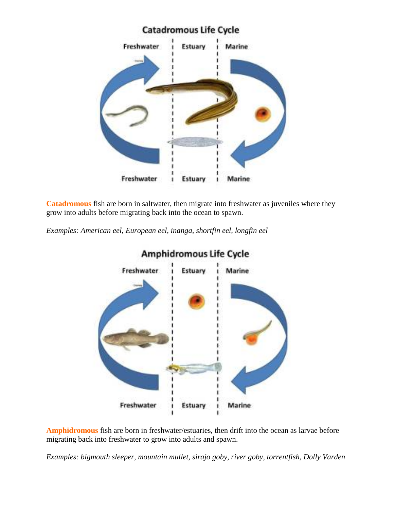

**Catadromous** fish are born in saltwater, then migrate into freshwater as juveniles where they grow into adults before migrating back into the ocean to spawn.

*Examples: American eel, European eel, inanga, shortfin eel, longfin eel*



Amphidromous Life Cycle

**Amphidromous** fish are born in freshwater/estuaries, then drift into the ocean as larvae before migrating back into freshwater to grow into adults and spawn.

*Examples: bigmouth sleeper, mountain mullet, sirajo goby, river goby, torrentfish, Dolly Varden*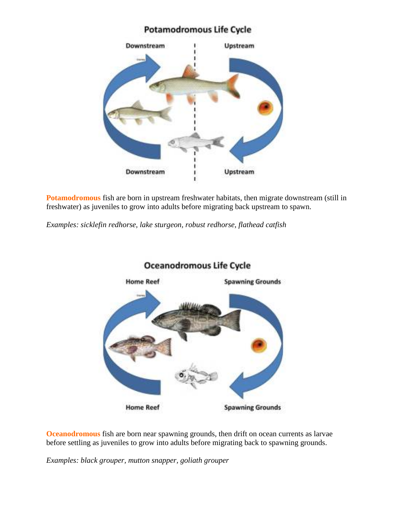## **Potamodromous Life Cycle**



**Potamodromous** fish are born in upstream freshwater habitats, then migrate downstream (still in freshwater) as juveniles to grow into adults before migrating back upstream to spawn.

*Examples: sicklefin redhorse, lake sturgeon, robust redhorse, flathead catfish*



## **Oceanodromous Life Cycle**

**Oceanodromous** fish are born near spawning grounds, then drift on ocean currents as larvae before settling as juveniles to grow into adults before migrating back to spawning grounds.

*Examples: black grouper, mutton snapper, goliath grouper*